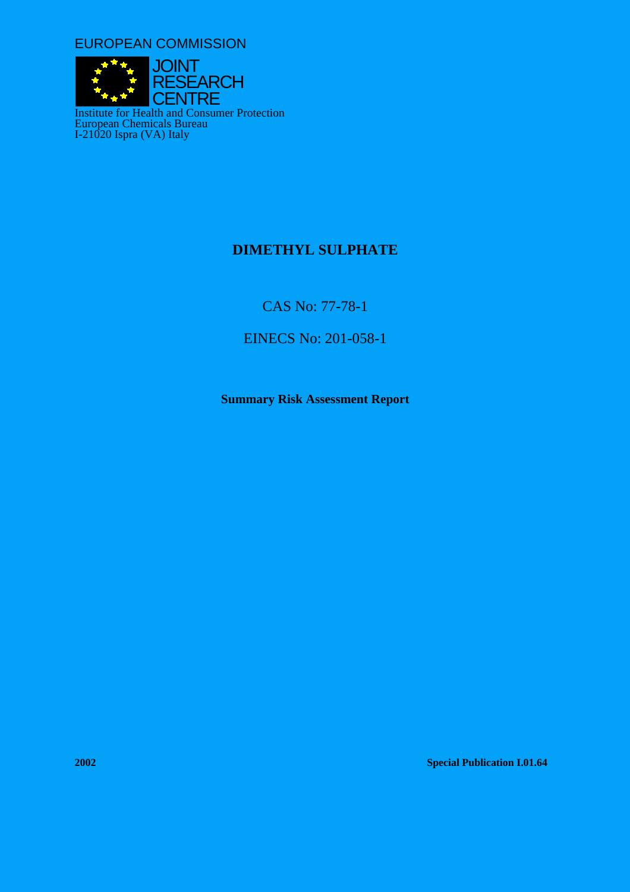EUROPEAN COMMISSION



# **DIMETHYL SULPHATE**

CAS No: 77-78-1

EINECS No: 201-058-1

**Summary Risk Assessment Report** 

**2002 Special Publication I.01.64**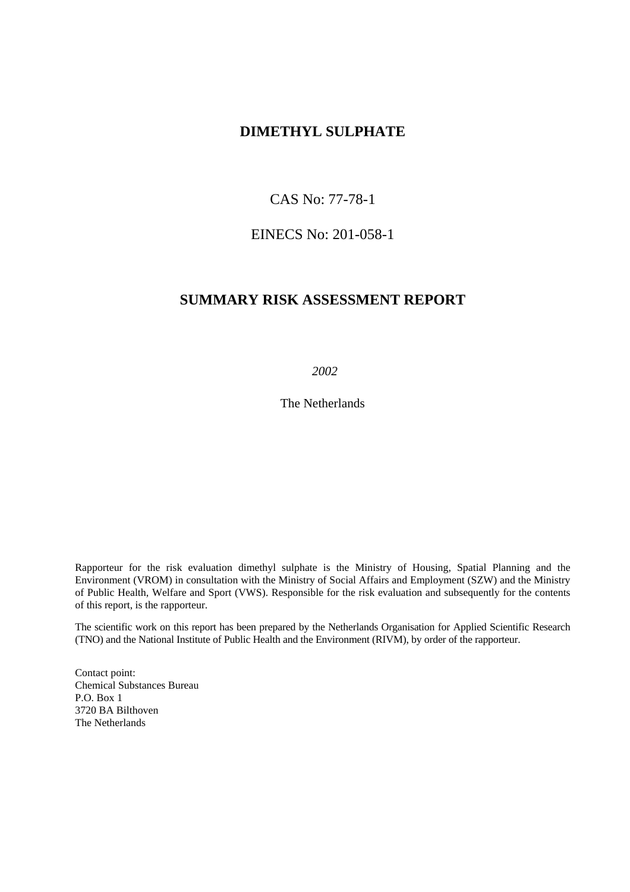# **DIMETHYL SULPHATE**

# CAS No: 77-78-1

# EINECS No: 201-058-1

# **SUMMARY RISK ASSESSMENT REPORT**

 *2002* 

The Netherlands

Rapporteur for the risk evaluation dimethyl sulphate is the Ministry of Housing, Spatial Planning and the Environment (VROM) in consultation with the Ministry of Social Affairs and Employment (SZW) and the Ministry of Public Health, Welfare and Sport (VWS). Responsible for the risk evaluation and subsequently for the contents of this report, is the rapporteur.

The scientific work on this report has been prepared by the Netherlands Organisation for Applied Scientific Research (TNO) and the National Institute of Public Health and the Environment (RIVM), by order of the rapporteur.

Contact point: Chemical Substances Bureau P.O. Box 1 3720 BA Bilthoven The Netherlands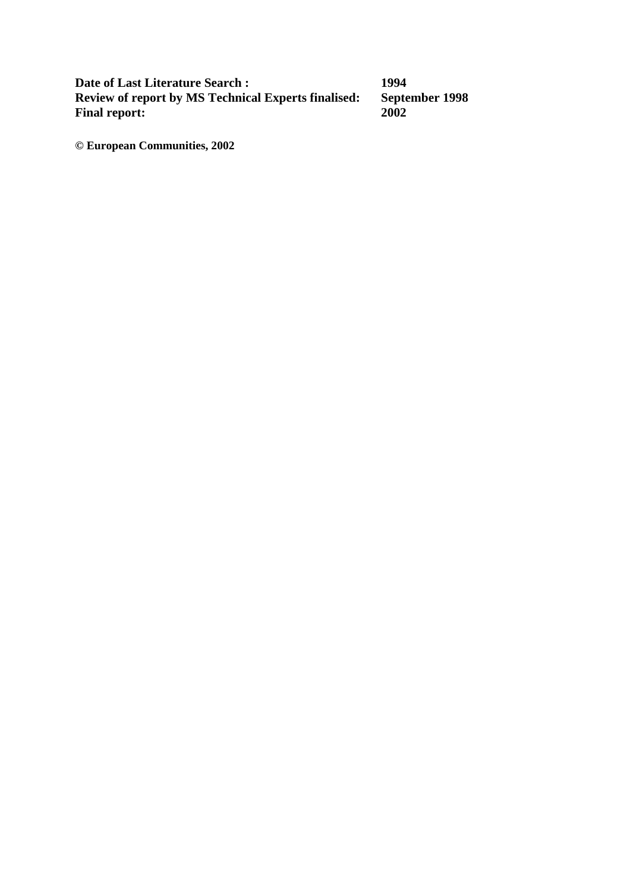**Date of Last Literature Search : 1994<br>
Review of report by MS Technical Experts finalised: September 1998<br>
Final report: 2002 Review of report by MS Technical Experts finalised: Final report:** 

**© European Communities, 2002**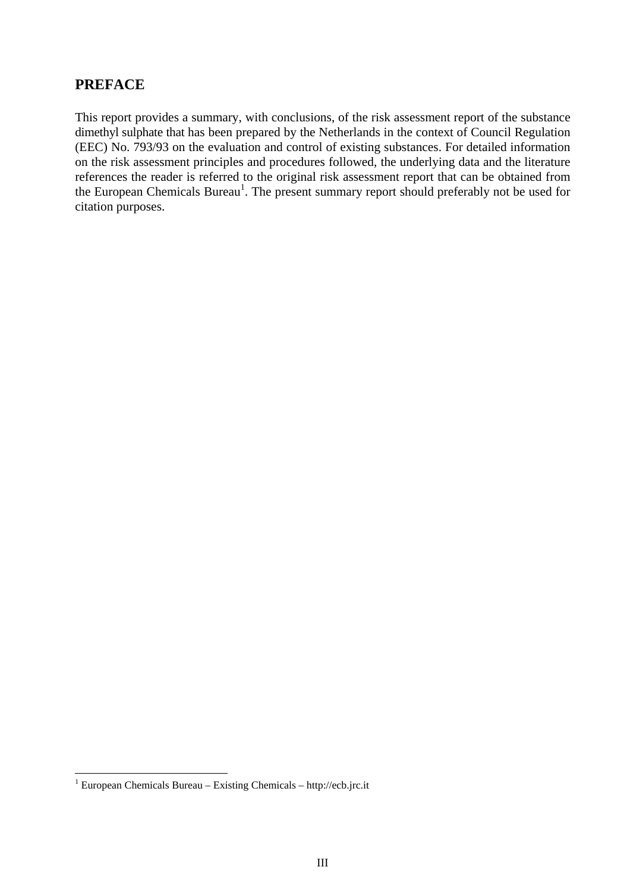# **PREFACE**

This report provides a summary, with conclusions, of the risk assessment report of the substance dimethyl sulphate that has been prepared by the Netherlands in the context of Council Regulation (EEC) No. 793/93 on the evaluation and control of existing substances. For detailed information on the risk assessment principles and procedures followed, the underlying data and the literature references the reader is referred to the original risk assessment report that can be obtained from the European Chemicals Bureau<sup>1</sup>. The present summary report should preferably not be used for citation purposes.

<span id="page-4-0"></span> $\frac{1}{1}$  $1$  European Chemicals Bureau – Existing Chemicals – http://ecb.jrc.it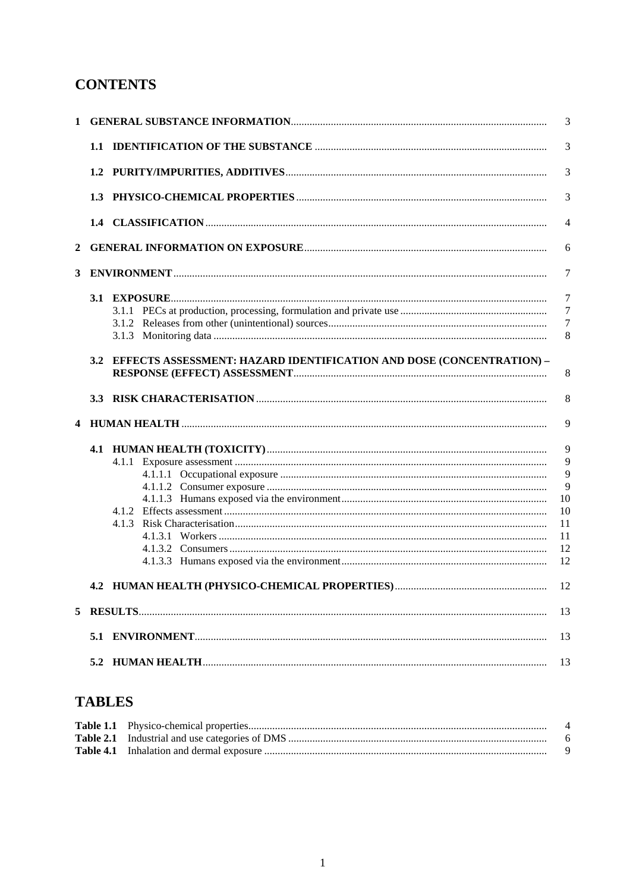# **CONTENTS**

|   |     |                                                                      | 3              |
|---|-----|----------------------------------------------------------------------|----------------|
|   |     |                                                                      | 3              |
|   |     |                                                                      | 3              |
|   |     |                                                                      | 3              |
|   |     |                                                                      | $\overline{4}$ |
| 2 |     |                                                                      | 6              |
| 3 |     | $ENVIRONMENT$                                                        | $\overline{7}$ |
|   |     |                                                                      | $\overline{7}$ |
|   |     |                                                                      | $\overline{7}$ |
|   |     |                                                                      | $\overline{7}$ |
|   |     |                                                                      | 8              |
|   | 3.2 | EFFECTS ASSESSMENT: HAZARD IDENTIFICATION AND DOSE (CONCENTRATION) - | 8<br>8         |
| 4 |     |                                                                      | 9              |
|   |     |                                                                      | 9              |
|   |     |                                                                      | 9              |
|   |     |                                                                      | 9              |
|   |     |                                                                      | 9              |
|   |     |                                                                      | 10             |
|   |     |                                                                      | 10             |
|   |     |                                                                      | 11             |
|   |     |                                                                      | 11             |
|   |     |                                                                      | 12             |
|   |     |                                                                      | 12             |
|   |     |                                                                      |                |
| 5 |     |                                                                      | 13             |
|   | 5.1 |                                                                      | 13             |
|   | 5.2 |                                                                      | 13             |

# **TABLES**

|  | 4 |
|--|---|
|  |   |
|  |   |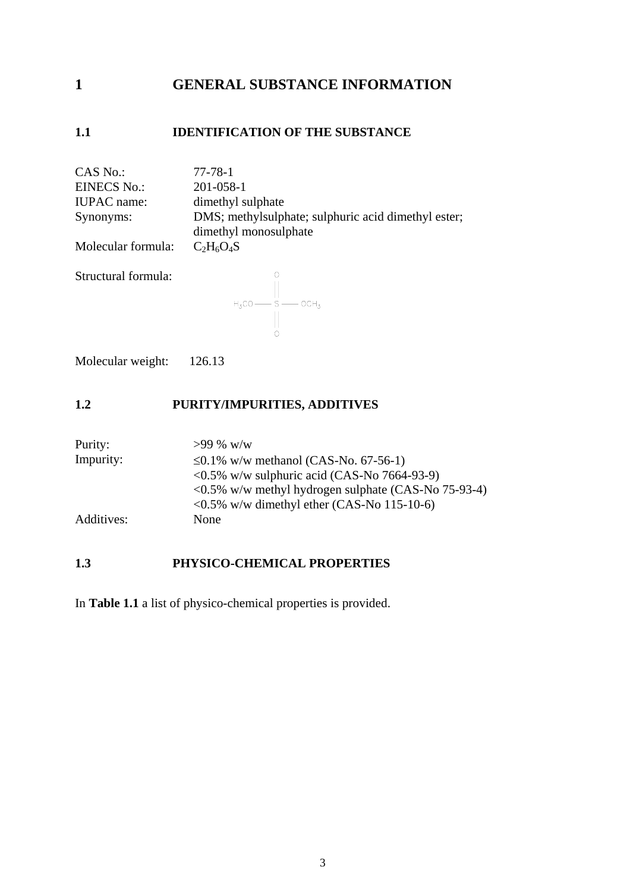# <span id="page-8-0"></span>**1 GENERAL SUBSTANCE INFORMATION**

# **1.1 IDENTIFICATION OF THE SUBSTANCE**

| CAS No.:<br><b>EINECS No.:</b><br><b>IUPAC</b> name:<br>Synonyms:<br>Molecular formula: | 77-78-1<br>201-058-1<br>dimethyl sulphate<br>DMS; methylsulphate; sulphuric acid dimethyl ester;<br>dimethyl monosulphate<br>$C_2H_6O_4S$ |
|-----------------------------------------------------------------------------------------|-------------------------------------------------------------------------------------------------------------------------------------------|
| Structural formula:                                                                     | $H_3CO \longrightarrow S \longrightarrow OCH_3$                                                                                           |

Molecular weight: 126.13

# **1.2 PURITY/IMPURITIES, ADDITIVES**

| Purity:    | $>99\%$ w/w                                                                   |
|------------|-------------------------------------------------------------------------------|
| Impurity:  | ≤0.1% w/w methanol (CAS-No. 67-56-1)                                          |
|            | $\langle 0.5\% \text{ w/w} \rangle$ sulphuric acid (CAS-No 7664-93-9)         |
|            | $\langle 0.5\% \text{ w/w} \rangle$ methyl hydrogen sulphate (CAS-No 75-93-4) |
|            | $\langle 0.5\% \text{ w/w} \rangle$ dimethyl ether (CAS-No 115-10-6)          |
| Additives: | None                                                                          |

# **1.3 PHYSICO-CHEMICAL PROPERTIES**

In **Table 1.1** a list of physico-chemical properties is provided.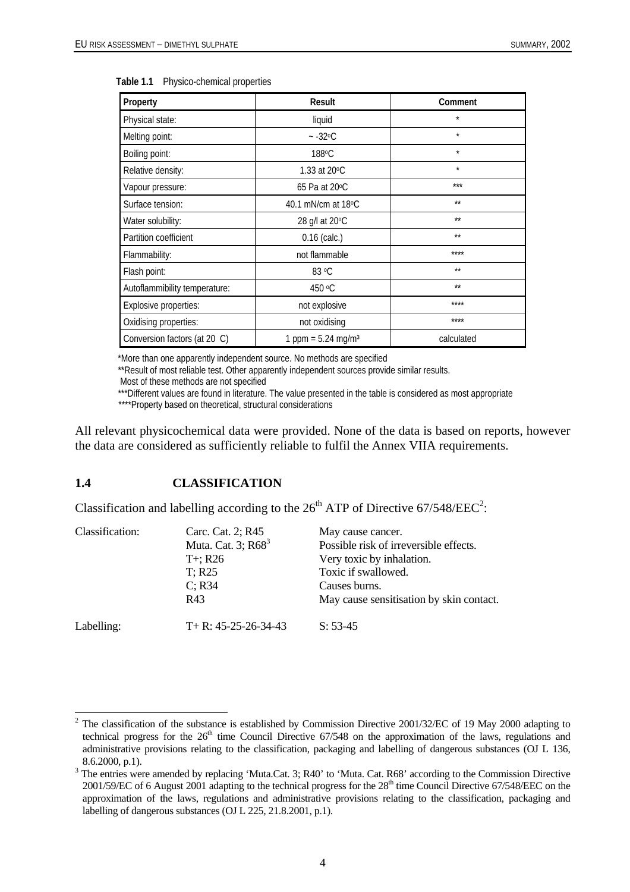| Property                      | Result                           | Comment      |
|-------------------------------|----------------------------------|--------------|
| Physical state:               | liquid                           | $\star$      |
| Melting point:                | $-32^{\circ}$ C                  | $\star$      |
| Boiling point:                | 188 <sup>o</sup> C               | $\star$      |
| Relative density:             | 1.33 at 20°C                     | $\star$      |
| Vapour pressure:              | 65 Pa at 20 °C                   | ***          |
| Surface tension:              | 40.1 mN/cm at $18^{\circ}$ C     | $**$         |
| Water solubility:             | 28 g/l at 20°C                   | $**$         |
| Partition coefficient         | $0.16$ (calc.)                   | $\star\star$ |
| Flammability:                 | not flammable                    | ****         |
| Flash point:                  | 83 °C                            | $**$         |
| Autoflammibility temperature: | 450 °C                           | $**$         |
| Explosive properties:         | not explosive                    | ****         |
| Oxidising properties:         | not oxidising                    | ****         |
| Conversion factors (at 20 C)  | 1 ppm = $5.24$ mg/m <sup>3</sup> | calculated   |

<span id="page-9-0"></span>

|  | Table 1.1 Physico-chemical properties |  |
|--|---------------------------------------|--|
|--|---------------------------------------|--|

\*More than one apparently independent source. No methods are specified

\*\*Result of most reliable test. Other apparently independent sources provide similar results.

\*\*\*Different values are found in literature. The value presented in the table is considered as most appropriate

\*\*\*\*Property based on theoretical, structural considerations

All relevant physicochemical data were provided. None of the data is based on reports, however the data are considered as sufficiently reliable to fulfil the Annex VIIA requirements.

#### **1.4 CLASSIFICATION**

Classification and labelling according to the  $26<sup>th</sup>$  $26<sup>th</sup>$  ATP of Directive 67/548/EEC<sup>2</sup>:

| Classification: | Carc. Cat. 2; R45<br>Muta. Cat. 3; R68 <sup>3</sup> | May cause cancer.<br>Possible risk of irreversible effects. |
|-----------------|-----------------------------------------------------|-------------------------------------------------------------|
|                 | $T_{+}$ ; R26                                       | Very toxic by inhalation.                                   |
|                 | $T$ ; R25                                           | Toxic if swallowed.                                         |
|                 | $C$ ; R34                                           | Causes burns.                                               |
|                 | R43                                                 | May cause sensitisation by skin contact.                    |
| Labelling:      | $T+ R: 45-25-26-34-43$                              | $S: 53-45$                                                  |

Most of these methods are not specified

<span id="page-9-1"></span><sup>&</sup>lt;sup>2</sup> The classification of the substance is established by Commission Directive 2001/32/EC of 19 May 2000 adapting to technical progress for the  $26<sup>th</sup>$  time Council Directive 67/548 on the approximation of the laws, regulations and administrative provisions relating to the classification, packaging and labelling of dangerous substances (OJ L 136, 8.6.2000, p.1).

<span id="page-9-2"></span><sup>&</sup>lt;sup>3</sup> The entries were amended by replacing 'Muta.Cat. 3; R40' to 'Muta. Cat. R68' according to the Commission Directive 2001/59/EC of 6 August 2001 adapting to the technical progress for the 28<sup>th</sup> time Council Directive 67/548/EEC on the approximation of the laws, regulations and administrative provisions relating to the classification, packaging and labelling of dangerous substances (OJ L 225, 21.8.2001, p.1).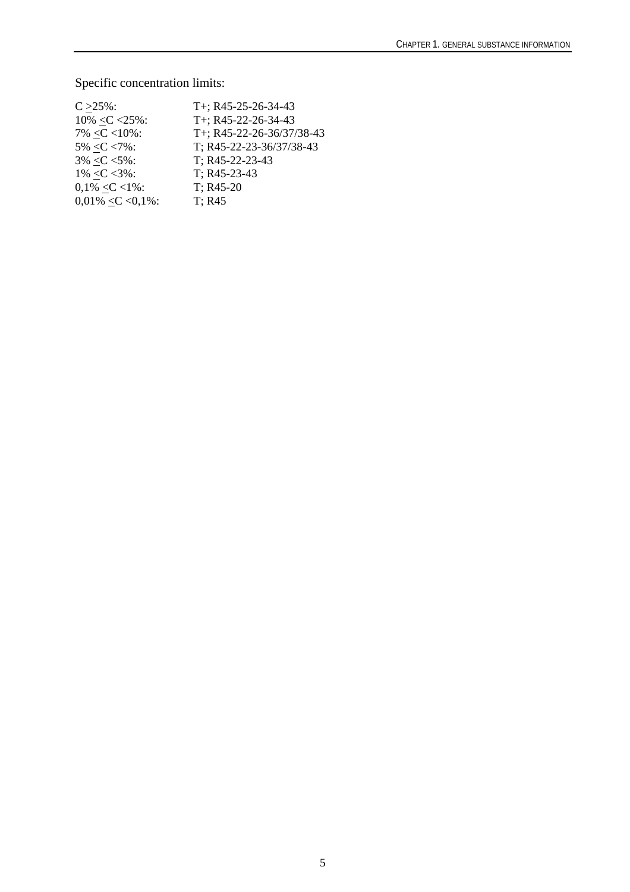# Specific concentration limits:

| $C > 25\%$ :           | T+; R45-25-26-34-43       |
|------------------------|---------------------------|
| $10\% < C < 25\%$ :    | T+; R45-22-26-34-43       |
| $7\% < C < 10\%$ :     | T+; R45-22-26-36/37/38-43 |
| $5\% < C < 7\%$ :      | T; R45-22-23-36/37/38-43  |
| $3\% < C < 5\%$ :      | T; R45-22-23-43           |
| $1\% < C < 3\%$ :      | T; R45-23-43              |
| $0,1\% < C < 1\%$ :    | $T: R45-20$               |
| $0.01\% < C < 0.1\%$ : | $T$ ; R45                 |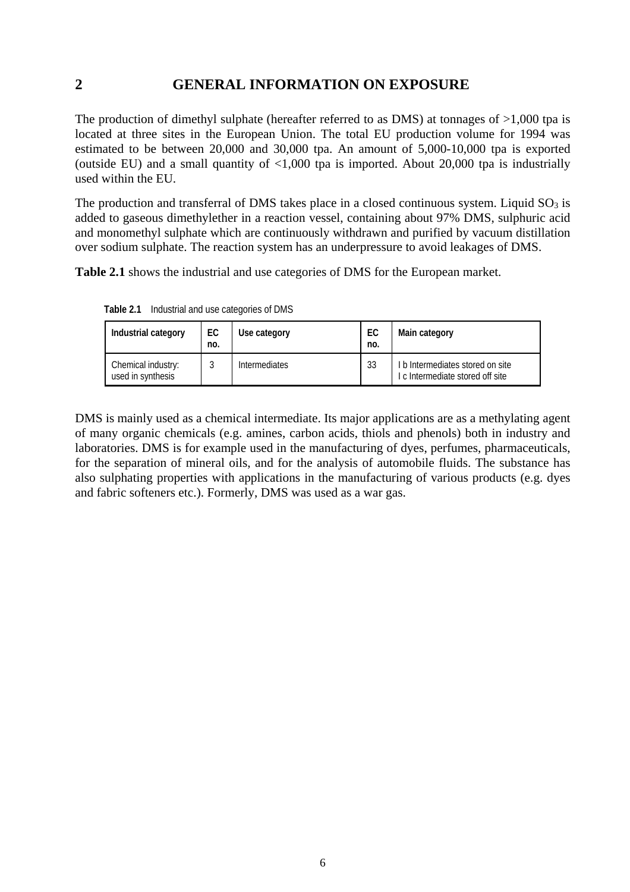# <span id="page-11-0"></span>**2 GENERAL INFORMATION ON EXPOSURE**

The production of dimethyl sulphate (hereafter referred to as DMS) at tonnages of >1,000 tpa is located at three sites in the European Union. The total EU production volume for 1994 was estimated to be between 20,000 and 30,000 tpa. An amount of 5,000-10,000 tpa is exported (outside EU) and a small quantity of  $\langle 1,000 \rangle$  tpa is imported. About 20,000 tpa is industrially used within the EU.

The production and transferral of DMS takes place in a closed continuous system. Liquid  $SO<sub>3</sub>$  is added to gaseous dimethylether in a reaction vessel, containing about 97% DMS, sulphuric acid and monomethyl sulphate which are continuously withdrawn and purified by vacuum distillation over sodium sulphate. The reaction system has an underpressure to avoid leakages of DMS.

**Table 2.1** shows the industrial and use categories of DMS for the European market.

| Industrial category                     | EC<br>no. | Use category         | EC<br>no. | Main category                                                      |
|-----------------------------------------|-----------|----------------------|-----------|--------------------------------------------------------------------|
| Chemical industry:<br>used in synthesis |           | <b>Intermediates</b> | 33        | b Intermediates stored on site<br>I c Intermediate stored off site |

**Table 2.1** Industrial and use categories of DMS

DMS is mainly used as a chemical intermediate. Its major applications are as a methylating agent of many organic chemicals (e.g. amines, carbon acids, thiols and phenols) both in industry and laboratories. DMS is for example used in the manufacturing of dyes, perfumes, pharmaceuticals, for the separation of mineral oils, and for the analysis of automobile fluids. The substance has also sulphating properties with applications in the manufacturing of various products (e.g. dyes and fabric softeners etc.). Formerly, DMS was used as a war gas.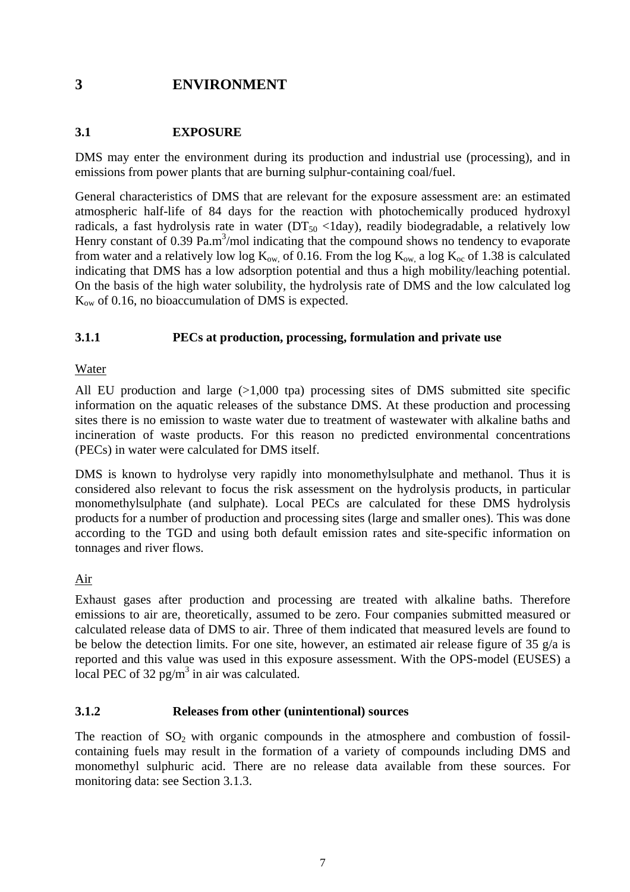# <span id="page-12-0"></span>**3 ENVIRONMENT**

# **3.1 EXPOSURE**

DMS may enter the environment during its production and industrial use (processing), and in emissions from power plants that are burning sulphur-containing coal/fuel.

General characteristics of DMS that are relevant for the exposure assessment are: an estimated atmospheric half-life of 84 days for the reaction with photochemically produced hydroxyl radicals, a fast hydrolysis rate in water ( $DT_{50}$  <1day), readily biodegradable, a relatively low Henry constant of  $0.39$  Pa.m<sup>3</sup>/mol indicating that the compound shows no tendency to evaporate from water and a relatively low log  $K_{ow}$  of 0.16. From the log  $K_{ow}$  a log  $K_{oc}$  of 1.38 is calculated indicating that DMS has a low adsorption potential and thus a high mobility/leaching potential. On the basis of the high water solubility, the hydrolysis rate of DMS and the low calculated log  $K_{ow}$  of 0.16, no bioaccumulation of DMS is expected.

# **3.1.1 PECs at production, processing, formulation and private use**

### Water

All EU production and large (>1,000 tpa) processing sites of DMS submitted site specific information on the aquatic releases of the substance DMS. At these production and processing sites there is no emission to waste water due to treatment of wastewater with alkaline baths and incineration of waste products. For this reason no predicted environmental concentrations (PECs) in water were calculated for DMS itself.

DMS is known to hydrolyse very rapidly into monomethylsulphate and methanol. Thus it is considered also relevant to focus the risk assessment on the hydrolysis products, in particular monomethylsulphate (and sulphate). Local PECs are calculated for these DMS hydrolysis products for a number of production and processing sites (large and smaller ones). This was done according to the TGD and using both default emission rates and site-specific information on tonnages and river flows.

# Air

Exhaust gases after production and processing are treated with alkaline baths. Therefore emissions to air are, theoretically, assumed to be zero. Four companies submitted measured or calculated release data of DMS to air. Three of them indicated that measured levels are found to be below the detection limits. For one site, however, an estimated air release figure of 35  $g/a$  is reported and this value was used in this exposure assessment. With the OPS-model (EUSES) a local PEC of 32 pg/m<sup>3</sup> in air was calculated.

#### **3.1.2 Releases from other (unintentional) sources**

The reaction of  $SO_2$  with organic compounds in the atmosphere and combustion of fossilcontaining fuels may result in the formation of a variety of compounds including DMS and monomethyl sulphuric acid. There are no release data available from these sources. For monitoring data: see Section 3.1.3.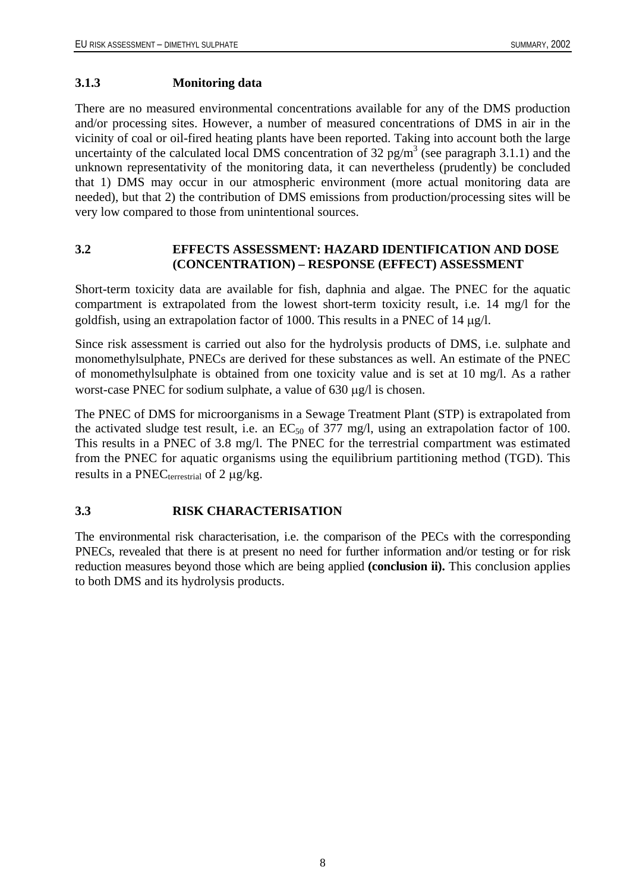#### <span id="page-13-0"></span>**3.1.3 Monitoring data**

There are no measured environmental concentrations available for any of the DMS production and/or processing sites. However, a number of measured concentrations of DMS in air in the vicinity of coal or oil-fired heating plants have been reported. Taking into account both the large uncertainty of the calculated local DMS concentration of 32  $pg/m<sup>3</sup>$  (see paragraph 3.1.1) and the unknown representativity of the monitoring data, it can nevertheless (prudently) be concluded that 1) DMS may occur in our atmospheric environment (more actual monitoring data are needed), but that 2) the contribution of DMS emissions from production/processing sites will be very low compared to those from unintentional sources.

# **3.2 EFFECTS ASSESSMENT: HAZARD IDENTIFICATION AND DOSE (CONCENTRATION) – RESPONSE (EFFECT) ASSESSMENT**

Short-term toxicity data are available for fish, daphnia and algae. The PNEC for the aquatic compartment is extrapolated from the lowest short-term toxicity result, i.e. 14 mg/l for the goldfish, using an extrapolation factor of 1000. This results in a PNEC of 14 µg/l.

Since risk assessment is carried out also for the hydrolysis products of DMS, i.e. sulphate and monomethylsulphate, PNECs are derived for these substances as well. An estimate of the PNEC of monomethylsulphate is obtained from one toxicity value and is set at 10 mg/l. As a rather worst-case PNEC for sodium sulphate, a value of 630 µg/l is chosen.

The PNEC of DMS for microorganisms in a Sewage Treatment Plant (STP) is extrapolated from the activated sludge test result, i.e. an  $EC_{50}$  of 377 mg/l, using an extrapolation factor of 100. This results in a PNEC of 3.8 mg/l. The PNEC for the terrestrial compartment was estimated from the PNEC for aquatic organisms using the equilibrium partitioning method (TGD). This results in a PNEC<sub>terrestrial</sub> of 2  $\mu$ g/kg.

# **3.3 RISK CHARACTERISATION**

The environmental risk characterisation, i.e. the comparison of the PECs with the corresponding PNECs, revealed that there is at present no need for further information and/or testing or for risk reduction measures beyond those which are being applied **(conclusion ii).** This conclusion applies to both DMS and its hydrolysis products.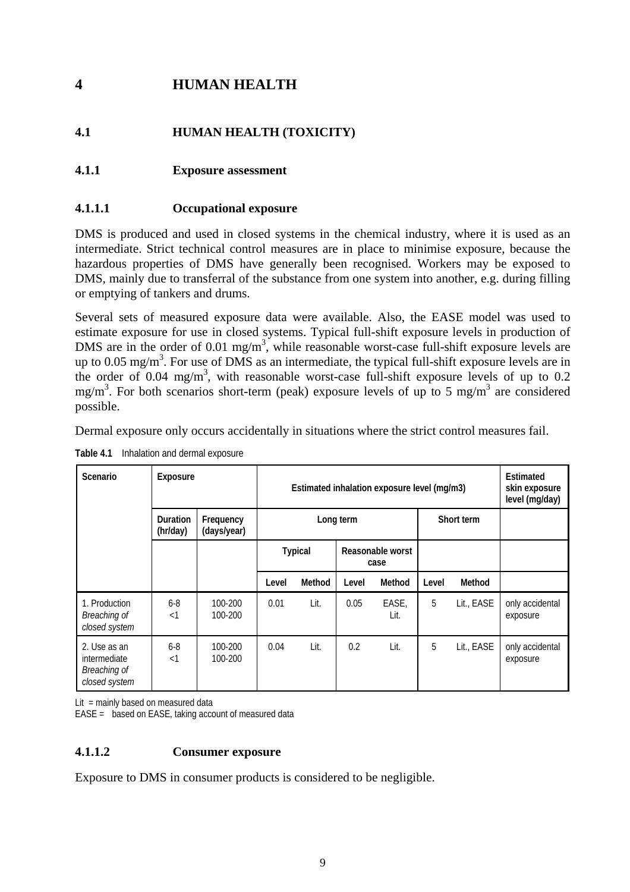# <span id="page-14-0"></span>**4 HUMAN HEALTH**

# **4.1 HUMAN HEALTH (TOXICITY)**

# **4.1.1 Exposure assessment**

## **4.1.1.1 Occupational exposure**

DMS is produced and used in closed systems in the chemical industry, where it is used as an intermediate. Strict technical control measures are in place to minimise exposure, because the hazardous properties of DMS have generally been recognised. Workers may be exposed to DMS, mainly due to transferral of the substance from one system into another, e.g. during filling or emptying of tankers and drums.

Several sets of measured exposure data were available. Also, the EASE model was used to estimate exposure for use in closed systems. Typical full-shift exposure levels in production of DMS are in the order of 0.01 mg/m<sup>3</sup>, while reasonable worst-case full-shift exposure levels are up to 0.05 mg/m<sup>3</sup>. For use of DMS as an intermediate, the typical full-shift exposure levels are in the order of  $0.04$  mg/m<sup>3</sup>, with reasonable worst-case full-shift exposure levels of up to  $0.2$ mg/m<sup>3</sup>. For both scenarios short-term (peak) exposure levels of up to 5 mg/m<sup>3</sup> are considered possible.

Dermal exposure only occurs accidentally in situations where the strict control measures fail.

| <b>Scenario</b>                                               | <b>Exposure</b>             |                          | Estimated inhalation exposure level (mg/m3) |               |       |               |       | Estimated<br>skin exposure<br>level (mg/day) |                             |
|---------------------------------------------------------------|-----------------------------|--------------------------|---------------------------------------------|---------------|-------|---------------|-------|----------------------------------------------|-----------------------------|
|                                                               | <b>Duration</b><br>(hr/day) | Frequency<br>(days/year) | Long term                                   |               |       | Short term    |       |                                              |                             |
|                                                               |                             |                          | Reasonable worst<br><b>Typical</b><br>case  |               |       |               |       |                                              |                             |
|                                                               |                             |                          | Level                                       | <b>Method</b> | Level | <b>Method</b> | Level | <b>Method</b>                                |                             |
| 1. Production<br>Breaching of<br>closed system                | $6 - 8$<br>$\leq$ 1         | 100-200<br>100-200       | 0.01                                        | Lit.          | 0.05  | EASE,<br>Lit. | 5     | Lit., EASE                                   | only accidental<br>exposure |
| 2. Use as an<br>intermediate<br>Breaching of<br>closed system | $6 - 8$<br>$\leq$ 1         | 100-200<br>100-200       | 0.04                                        | Lit.          | 0.2   | Lit.          | 5     | Lit., EASE                                   | only accidental<br>exposure |

**Table 4.1** Inhalation and dermal exposure

Lit = mainly based on measured data

EASE = based on EASE, taking account of measured data

# **4.1.1.2 Consumer exposure**

Exposure to DMS in consumer products is considered to be negligible.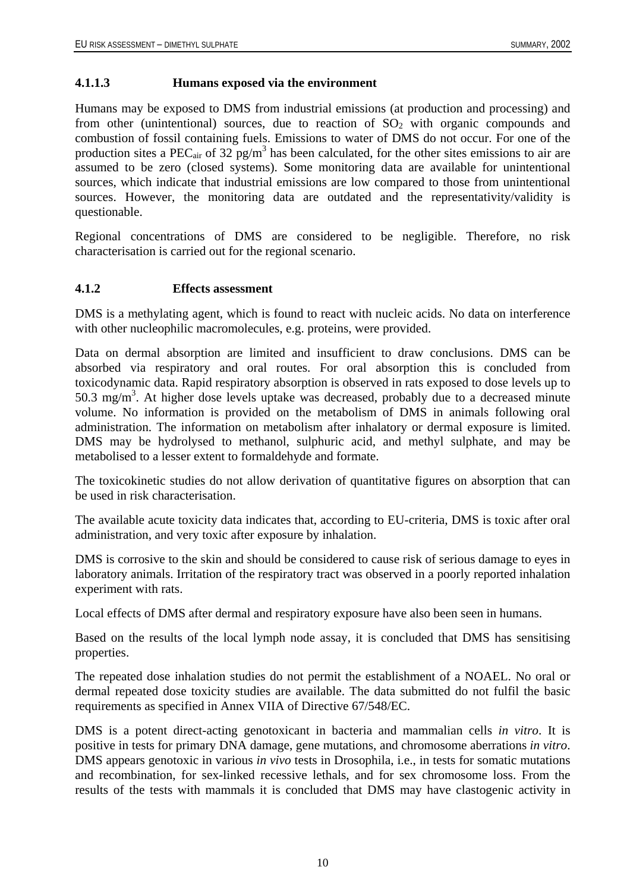#### <span id="page-15-0"></span>**4.1.1.3 Humans exposed via the environment**

Humans may be exposed to DMS from industrial emissions (at production and processing) and from other (unintentional) sources, due to reaction of  $SO<sub>2</sub>$  with organic compounds and combustion of fossil containing fuels. Emissions to water of DMS do not occur. For one of the production sites a PEC<sub>air</sub> of 32 pg/m<sup>3</sup> has been calculated, for the other sites emissions to air are assumed to be zero (closed systems). Some monitoring data are available for unintentional sources, which indicate that industrial emissions are low compared to those from unintentional sources. However, the monitoring data are outdated and the representativity/validity is questionable.

Regional concentrations of DMS are considered to be negligible. Therefore, no risk characterisation is carried out for the regional scenario.

#### **4.1.2 Effects assessment**

DMS is a methylating agent, which is found to react with nucleic acids. No data on interference with other nucleophilic macromolecules, e.g. proteins, were provided.

Data on dermal absorption are limited and insufficient to draw conclusions. DMS can be absorbed via respiratory and oral routes. For oral absorption this is concluded from toxicodynamic data. Rapid respiratory absorption is observed in rats exposed to dose levels up to 50.3 mg/m<sup>3</sup>. At higher dose levels uptake was decreased, probably due to a decreased minute volume. No information is provided on the metabolism of DMS in animals following oral administration. The information on metabolism after inhalatory or dermal exposure is limited. DMS may be hydrolysed to methanol, sulphuric acid, and methyl sulphate, and may be metabolised to a lesser extent to formaldehyde and formate.

The toxicokinetic studies do not allow derivation of quantitative figures on absorption that can be used in risk characterisation.

The available acute toxicity data indicates that, according to EU-criteria, DMS is toxic after oral administration, and very toxic after exposure by inhalation.

DMS is corrosive to the skin and should be considered to cause risk of serious damage to eyes in laboratory animals. Irritation of the respiratory tract was observed in a poorly reported inhalation experiment with rats.

Local effects of DMS after dermal and respiratory exposure have also been seen in humans.

Based on the results of the local lymph node assay, it is concluded that DMS has sensitising properties.

The repeated dose inhalation studies do not permit the establishment of a NOAEL. No oral or dermal repeated dose toxicity studies are available. The data submitted do not fulfil the basic requirements as specified in Annex VIIA of Directive 67/548/EC.

DMS is a potent direct-acting genotoxicant in bacteria and mammalian cells *in vitro*. It is positive in tests for primary DNA damage, gene mutations, and chromosome aberrations *in vitro*. DMS appears genotoxic in various *in vivo* tests in Drosophila, i.e., in tests for somatic mutations and recombination, for sex-linked recessive lethals, and for sex chromosome loss. From the results of the tests with mammals it is concluded that DMS may have clastogenic activity in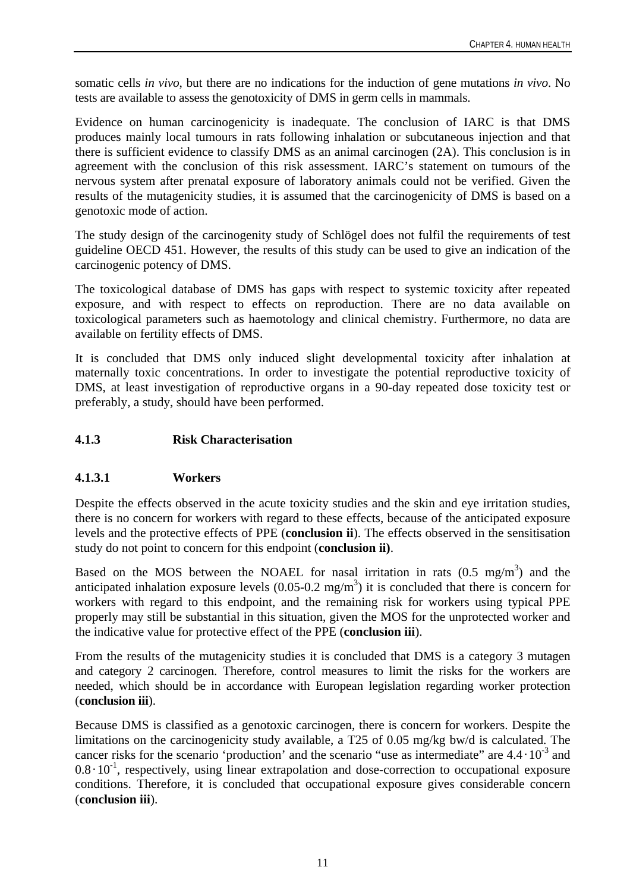<span id="page-16-0"></span>somatic cells *in vivo*, but there are no indications for the induction of gene mutations *in vivo*. No tests are available to assess the genotoxicity of DMS in germ cells in mammals.

Evidence on human carcinogenicity is inadequate. The conclusion of IARC is that DMS produces mainly local tumours in rats following inhalation or subcutaneous injection and that there is sufficient evidence to classify DMS as an animal carcinogen (2A). This conclusion is in agreement with the conclusion of this risk assessment. IARC's statement on tumours of the nervous system after prenatal exposure of laboratory animals could not be verified. Given the results of the mutagenicity studies, it is assumed that the carcinogenicity of DMS is based on a genotoxic mode of action.

The study design of the carcinogenity study of Schlögel does not fulfil the requirements of test guideline OECD 451. However, the results of this study can be used to give an indication of the carcinogenic potency of DMS.

The toxicological database of DMS has gaps with respect to systemic toxicity after repeated exposure, and with respect to effects on reproduction. There are no data available on toxicological parameters such as haemotology and clinical chemistry. Furthermore, no data are available on fertility effects of DMS.

It is concluded that DMS only induced slight developmental toxicity after inhalation at maternally toxic concentrations. In order to investigate the potential reproductive toxicity of DMS, at least investigation of reproductive organs in a 90-day repeated dose toxicity test or preferably, a study, should have been performed.

# **4.1.3 Risk Characterisation**

# **4.1.3.1 Workers**

Despite the effects observed in the acute toxicity studies and the skin and eye irritation studies, there is no concern for workers with regard to these effects, because of the anticipated exposure levels and the protective effects of PPE (**conclusion ii**). The effects observed in the sensitisation study do not point to concern for this endpoint (**conclusion ii)**.

Based on the MOS between the NOAEL for nasal irritation in rats  $(0.5 \text{ mg/m}^3)$  and the anticipated inhalation exposure levels  $(0.05{\text -}0.2 \text{ mg/m}^3)$  it is concluded that there is concern for workers with regard to this endpoint, and the remaining risk for workers using typical PPE properly may still be substantial in this situation, given the MOS for the unprotected worker and the indicative value for protective effect of the PPE (**conclusion iii**).

From the results of the mutagenicity studies it is concluded that DMS is a category 3 mutagen and category 2 carcinogen. Therefore, control measures to limit the risks for the workers are needed, which should be in accordance with European legislation regarding worker protection (**conclusion iii**).

Because DMS is classified as a genotoxic carcinogen, there is concern for workers. Despite the limitations on the carcinogenicity study available, a T25 of 0.05 mg/kg bw/d is calculated. The cancer risks for the scenario 'production' and the scenario "use as intermediate" are  $4.4 \cdot 10^{-3}$  and  $0.8 \cdot 10^{-1}$ , respectively, using linear extrapolation and dose-correction to occupational exposure conditions. Therefore, it is concluded that occupational exposure gives considerable concern (**conclusion iii**).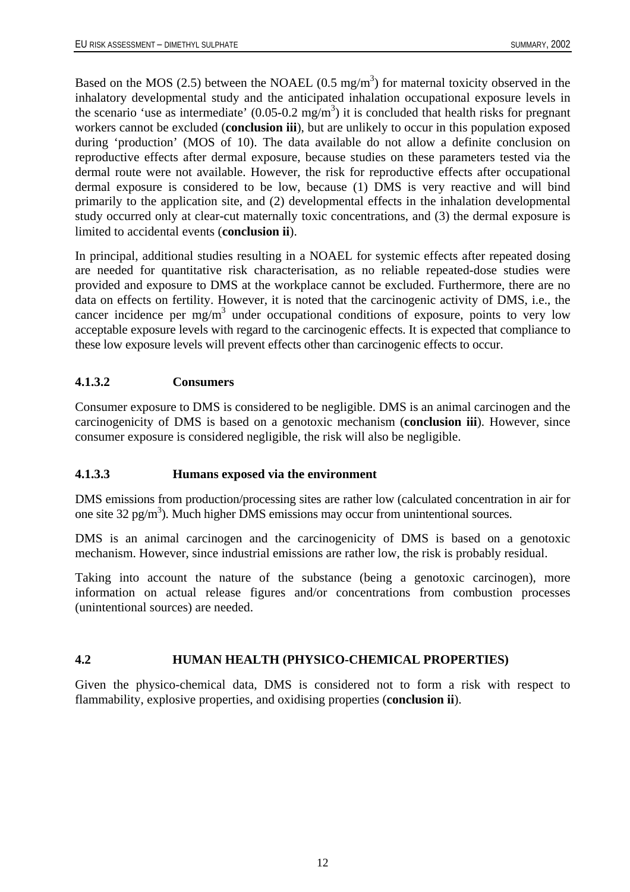<span id="page-17-0"></span>Based on the MOS (2.5) between the NOAEL (0.5 mg/m<sup>3</sup>) for maternal toxicity observed in the inhalatory developmental study and the anticipated inhalation occupational exposure levels in the scenario 'use as intermediate'  $(0.05{\text -}0.2 \text{ mg/m}^3)$  it is concluded that health risks for pregnant workers cannot be excluded (**conclusion iii**), but are unlikely to occur in this population exposed during 'production' (MOS of 10). The data available do not allow a definite conclusion on reproductive effects after dermal exposure, because studies on these parameters tested via the dermal route were not available. However, the risk for reproductive effects after occupational dermal exposure is considered to be low, because (1) DMS is very reactive and will bind primarily to the application site, and (2) developmental effects in the inhalation developmental study occurred only at clear-cut maternally toxic concentrations, and (3) the dermal exposure is limited to accidental events (**conclusion ii**).

In principal, additional studies resulting in a NOAEL for systemic effects after repeated dosing are needed for quantitative risk characterisation, as no reliable repeated-dose studies were provided and exposure to DMS at the workplace cannot be excluded. Furthermore, there are no data on effects on fertility. However, it is noted that the carcinogenic activity of DMS, i.e., the cancer incidence per  $mg/m<sup>3</sup>$  under occupational conditions of exposure, points to very low acceptable exposure levels with regard to the carcinogenic effects. It is expected that compliance to these low exposure levels will prevent effects other than carcinogenic effects to occur.

# **4.1.3.2 Consumers**

Consumer exposure to DMS is considered to be negligible. DMS is an animal carcinogen and the carcinogenicity of DMS is based on a genotoxic mechanism (**conclusion iii**). However, since consumer exposure is considered negligible, the risk will also be negligible.

# **4.1.3.3 Humans exposed via the environment**

DMS emissions from production/processing sites are rather low (calculated concentration in air for one site 32 pg/m<sup>3</sup>). Much higher DMS emissions may occur from unintentional sources.

DMS is an animal carcinogen and the carcinogenicity of DMS is based on a genotoxic mechanism. However, since industrial emissions are rather low, the risk is probably residual.

Taking into account the nature of the substance (being a genotoxic carcinogen), more information on actual release figures and/or concentrations from combustion processes (unintentional sources) are needed.

# **4.2 HUMAN HEALTH (PHYSICO-CHEMICAL PROPERTIES)**

Given the physico-chemical data, DMS is considered not to form a risk with respect to flammability, explosive properties, and oxidising properties (**conclusion ii**).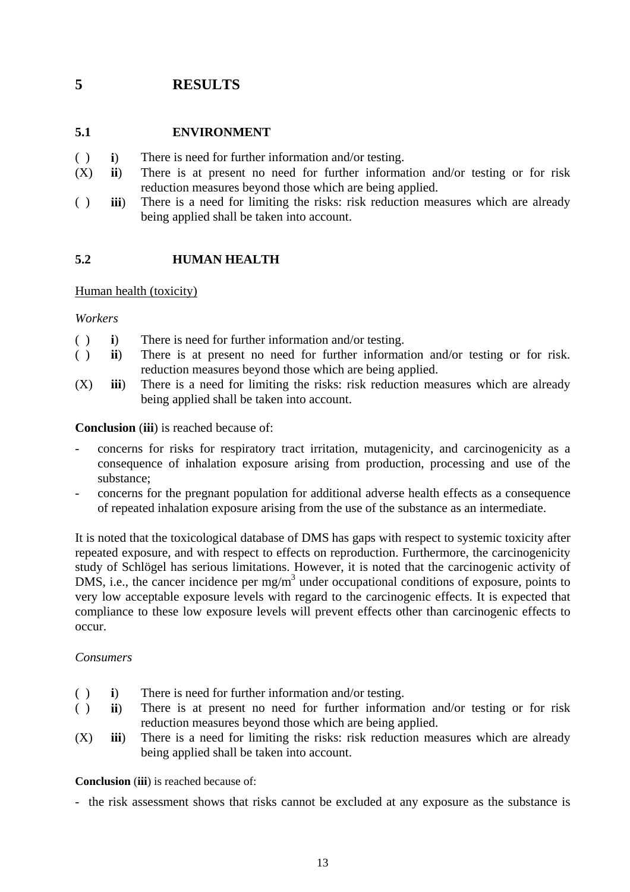# <span id="page-18-0"></span>**5 RESULTS**

# **5.1 ENVIRONMENT**

- ( ) **i**) There is need for further information and/or testing.
- (X) **ii**) There is at present no need for further information and/or testing or for risk reduction measures beyond those which are being applied.
- ( ) **iii**) There is a need for limiting the risks: risk reduction measures which are already being applied shall be taken into account.

# **5.2 HUMAN HEALTH**

### Human health (toxicity)

*Workers* 

- ( ) **i**) There is need for further information and/or testing.
- ( ) **ii**) There is at present no need for further information and/or testing or for risk. reduction measures beyond those which are being applied.
- (X) **iii**) There is a need for limiting the risks: risk reduction measures which are already being applied shall be taken into account.

**Conclusion** (**iii**) is reached because of:

- concerns for risks for respiratory tract irritation, mutagenicity, and carcinogenicity as a consequence of inhalation exposure arising from production, processing and use of the substance;
- concerns for the pregnant population for additional adverse health effects as a consequence of repeated inhalation exposure arising from the use of the substance as an intermediate.

It is noted that the toxicological database of DMS has gaps with respect to systemic toxicity after repeated exposure, and with respect to effects on reproduction. Furthermore, the carcinogenicity study of Schlögel has serious limitations. However, it is noted that the carcinogenic activity of DMS, i.e., the cancer incidence per mg/m<sup>3</sup> under occupational conditions of exposure, points to very low acceptable exposure levels with regard to the carcinogenic effects. It is expected that compliance to these low exposure levels will prevent effects other than carcinogenic effects to occur.

# *Consumers*

- ( ) **i**) There is need for further information and/or testing.
- ( ) **ii**) There is at present no need for further information and/or testing or for risk reduction measures beyond those which are being applied.
- (X) **iii**) There is a need for limiting the risks: risk reduction measures which are already being applied shall be taken into account.

#### **Conclusion** (**iii**) is reached because of:

- the risk assessment shows that risks cannot be excluded at any exposure as the substance is